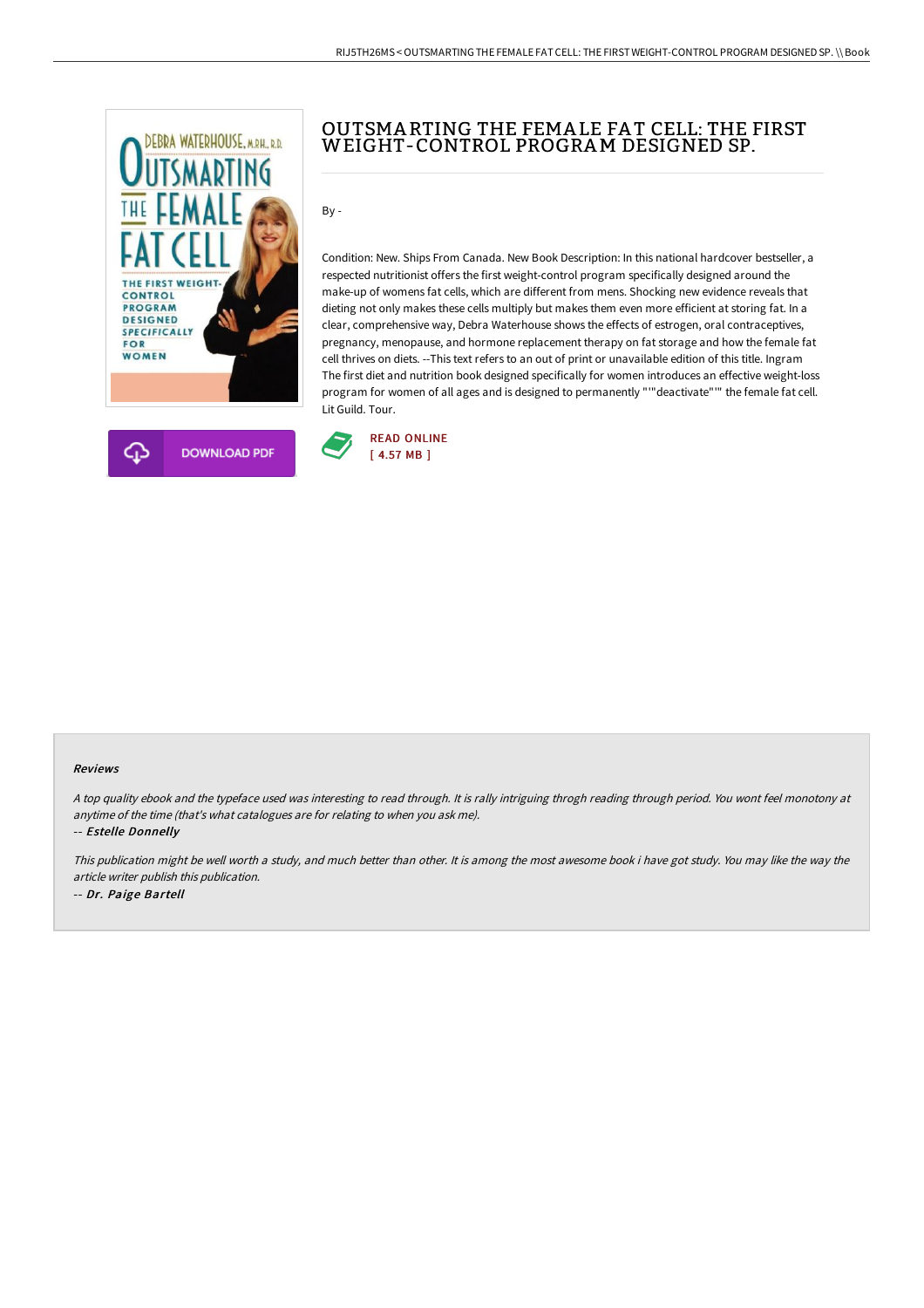



## OUTSMA RTING THE FEMA LE FA T CELL: THE FIRST WEIGHT-CONTROL PROGRAM DESIGNED SP.

By -

Condition: New. Ships From Canada. New Book Description: In this national hardcover bestseller, a respected nutritionist offers the first weight-control program specifically designed around the make-up of womens fat cells, which are different from mens. Shocking new evidence reveals that dieting not only makes these cells multiply but makes them even more efficient at storing fat. In a clear, comprehensive way, Debra Waterhouse shows the effects of estrogen, oral contraceptives, pregnancy, menopause, and hormone replacement therapy on fat storage and how the female fat cell thrives on diets. --This text refers to an out of print or unavailable edition of this title. Ingram The first diet and nutrition book designed specifically for women introduces an effective weight-loss program for women of all ages and is designed to permanently "'"deactivate"'" the female fat cell. Lit Guild. Tour.



## Reviews

<sup>A</sup> top quality ebook and the typeface used was interesting to read through. It is rally intriguing throgh reading through period. You wont feel monotony at anytime of the time (that's what catalogues are for relating to when you ask me).

-- Estelle Donnelly

This publication might be well worth <sup>a</sup> study, and much better than other. It is among the most awesome book i have got study. You may like the way the article writer publish this publication. -- Dr. Paige Bartell